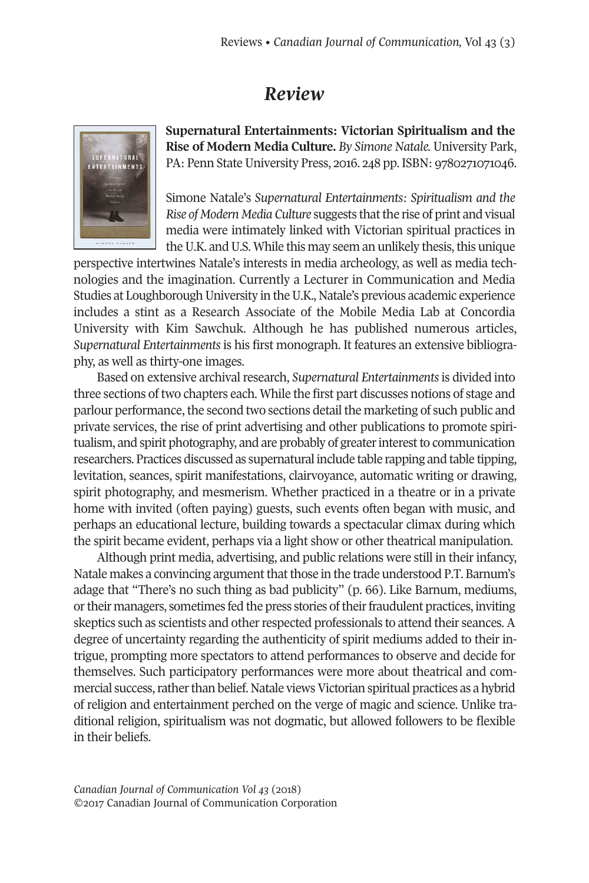## *Review*



**Supernatural Entertainments: Victorian Spiritualism and the Rise of Modern Media Culture.** *By Simone Natale.* University Park, PA: Penn State University Press, 201[6.](. http://doi.org/10.22230/cjc.2018v32n3a3390) 248 pp. ISBN: 9780271071046.

Simone Natale's *Supernatural Entertainments: Spiritualism and the Rise of Modern Media Culture* suggests thatthe rise of print and visual media were intimately linked with Victorian spiritual practices in the U.K. and U.S. While this may seem an unlikely thesis, this unique

perspective intertwines Natale's interests in media archeology, as well as media technologies and the imagination. Currently a Lecturer in Communication and Media Studies at Loughborough University in the U.K., Natale's previous academic experience includes a stint as a Research Associate of the Mobile Media Lab at Concordia University with Kim Sawchuk. Although he has published numerous articles, *Supernatural Entertainments* is his first monograph. It features an extensive bibliography, as well as thirty-one images.

Based on extensive archival research, *Supernatural Entertainments* is divided into three sections of two chapters each. While the first part discusses notions of stage and parlour performance, the second two sections detail the marketing of such public and private services, the rise of print advertising and other publications to promote spiritualism, and spirit photography, and are probably of greaterinterestto communication researchers. Practices discussed as supernatural include table rapping and table tipping, levitation, seances, spirit manifestations, clairvoyance, automatic writing or drawing, spirit photography, and mesmerism. Whether practiced in a theatre or in a private home with invited (often paying) guests, such events often began with music, and perhaps an educational lecture, building towards a spectacular climax during which the spirit became evident, perhaps via a light show or other theatrical manipulation.

Although print media, advertising, and public relations were still in their infancy, Natale makes a convincing argument that those in the trade understood P.T. Barnum's adage that "There's no such thing as bad publicity" (p. 66). Like Barnum, mediums, or their managers, sometimes fed the press stories of their fraudulent practices, inviting skeptics such as scientists and other respected professionals to attend their seances. A degree of uncertainty regarding the authenticity of spirit mediums added to their intrigue, prompting more spectators to attend performances to observe and decide for themselves. Such participatory performances were more about theatrical and commercial success, rather than belief. Natale views Victorian spiritual practices as a hybrid of religion and entertainment perched on the verge of magic and science. Unlike traditional religion, spiritualism was not dogmatic, but allowed followers to be flexible in their beliefs.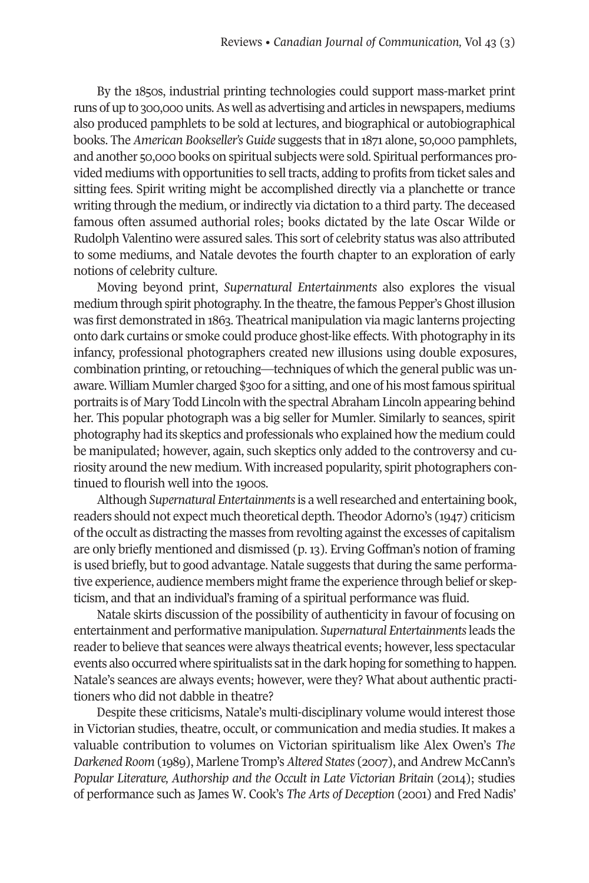By the 1850s, industrial printing technologies could support mass-market print runs of up to 300,000 units.As well as advertising and articles in newspapers, mediums also produced pamphlets to be sold at lectures, and biographical or autobiographical books. The *American Bookseller's Guide* suggests that in 1871 alone, 50,000 pamphlets, and another 50,000 books on spiritual subjects were sold. Spiritual performances provided mediums with opportunities to selltracts, adding to profits from ticket sales and sitting fees. Spirit writing might be accomplished directly via a planchette or trance writing through the medium, or indirectly via dictation to a third party. The deceased famous often assumed authorial roles; books dictated by the late Oscar Wilde or Rudolph Valentino were assured sales. This sort of celebrity status was also attributed to some mediums, and Natale devotes the fourth chapter to an exploration of early notions of celebrity culture.

Moving beyond print, *Supernatural Entertainments* also explores the visual medium through spirit photography. In the theatre, the famous Pepper's Ghost illusion was first demonstrated in 1863. Theatrical manipulation via magic lanterns projecting onto dark curtains or smoke could produce ghost-like effects. With photography in its infancy, professional photographers created new illusions using double exposures, combination printing, or retouching—techniques of which the general public was unaware. William Mumler charged \$300 for a sitting, and one of his most famous spiritual portraits is of Mary Todd Lincoln with the spectral Abraham Lincoln appearing behind her. This popular photograph was a big seller for Mumler. Similarly to seances, spirit photography had its skeptics and professionals who explained how the medium could be manipulated; however, again, such skeptics only added to the controversy and curiosity around the new medium. With increased popularity, spirit photographers continued to flourish well into the 1900s.

Although *Supernatural Entertainments*is a wellresearched and entertaining book, readers should not expect much theoretical depth. Theodor Adorno's (1947) criticism ofthe occult as distracting the masses from revolting againstthe excesses of capitalism are only briefly mentioned and dismissed (p. 13). Erving Goffman's notion of framing is used briefly, but to good advantage. Natale suggests that during the same performative experience, audience members might frame the experience through belief or skepticism, and that an individual's framing of a spiritual performance was fluid.

Natale skirts discussion of the possibility of authenticity in favour of focusing on entertainment and performative manipulation. *Supernatural Entertainments*leads the reader to believe that seances were always theatrical events; however, less spectacular events also occurred where spiritualists satin the dark hoping for something to happen. Natale's seances are always events; however, were they? What about authentic practitioners who did not dabble in theatre?

Despite these criticisms, Natale's multi-disciplinary volume would interest those in Victorian studies, theatre, occult, or communication and media studies. It makes a valuable contribution to volumes on Victorian spiritualism like Alex Owen's *The Darkened Room* (1989), Marlene Tromp's*Altered States* (2007), andAndrew McCann's *Popular Literature, Authorship and the Occult in Late Victorian Britain* (2014); studies of performance such as James W. Cook's *The Arts of Deception* (2001) and Fred Nadis'